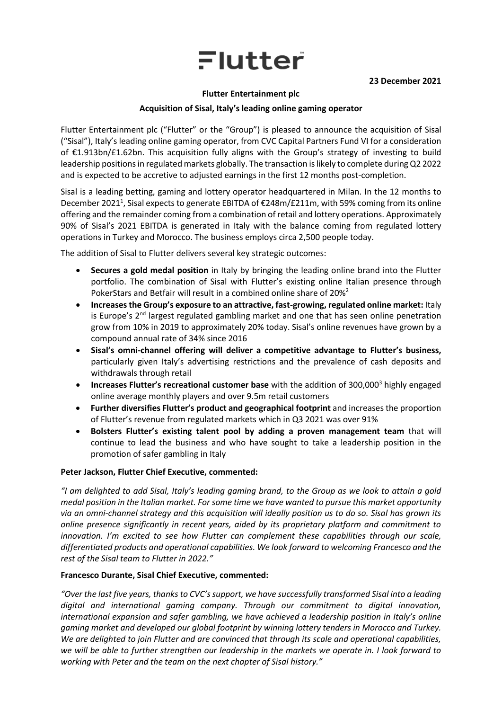# Flutter

#### **23 December 2021**

#### **Flutter Entertainment plc**

### **Acquisition of Sisal, Italy's leading online gaming operator**

Flutter Entertainment plc ("Flutter" or the "Group") is pleased to announce the acquisition of Sisal ("Sisal"), Italy's leading online gaming operator, from CVC Capital Partners Fund VI for a consideration of €1.913bn/£1.62bn. This acquisition fully aligns with the Group's strategy of investing to build leadership positions in regulated markets globally. The transaction is likely to complete during Q2 2022 and is expected to be accretive to adjusted earnings in the first 12 months post-completion.

Sisal is a leading betting, gaming and lottery operator headquartered in Milan. In the 12 months to December 2021<sup>1</sup>, Sisal expects to generate EBITDA of €248m/£211m, with 59% coming from its online offering and the remainder coming from a combination of retail and lottery operations. Approximately 90% of Sisal's 2021 EBITDA is generated in Italy with the balance coming from regulated lottery operations in Turkey and Morocco. The business employs circa 2,500 people today.

The addition of Sisal to Flutter delivers several key strategic outcomes:

- **Secures a gold medal position** in Italy by bringing the leading online brand into the Flutter portfolio. The combination of Sisal with Flutter's existing online Italian presence through PokerStars and Betfair will result in a combined online share of 20%<sup>2</sup>
- **Increases the Group's exposure to an attractive, fast-growing, regulated online market:** Italy is Europe's 2<sup>nd</sup> largest regulated gambling market and one that has seen online penetration grow from 10% in 2019 to approximately 20% today. Sisal's online revenues have grown by a compound annual rate of 34% since 2016
- **Sisal's omni-channel offering will deliver a competitive advantage to Flutter's business,** particularly given Italy's advertising restrictions and the prevalence of cash deposits and withdrawals through retail
- **Increases Flutter's recreational customer base** with the addition of 300,000<sup>3</sup> highly engaged online average monthly players and over 9.5m retail customers
- **Further diversifies Flutter's product and geographical footprint** and increases the proportion of Flutter's revenue from regulated markets which in Q3 2021 was over 91%
- **Bolsters Flutter's existing talent pool by adding a proven management team** that will continue to lead the business and who have sought to take a leadership position in the promotion of safer gambling in Italy

# **Peter Jackson, Flutter Chief Executive, commented:**

*"I am delighted to add Sisal, Italy's leading gaming brand, to the Group as we look to attain a gold medal position in the Italian market. For some time we have wanted to pursue this market opportunity via an omni-channel strategy and this acquisition will ideally position us to do so. Sisal has grown its online presence significantly in recent years, aided by its proprietary platform and commitment to innovation. I'm excited to see how Flutter can complement these capabilities through our scale, differentiated products and operational capabilities. We look forward to welcoming Francesco and the rest of the Sisal team to Flutter in 2022."*

#### **Francesco Durante, Sisal Chief Executive, commented:**

*"Over the last five years, thanks to CVC's support, we have successfully transformed Sisal into a leading digital and international gaming company. Through our commitment to digital innovation, international expansion and safer gambling, we have achieved a leadership position in Italy's online gaming market and developed our global footprint by winning lottery tenders in Morocco and Turkey. We are delighted to join Flutter and are convinced that through its scale and operational capabilities, we will be able to further strengthen our leadership in the markets we operate in. I look forward to working with Peter and the team on the next chapter of Sisal history."*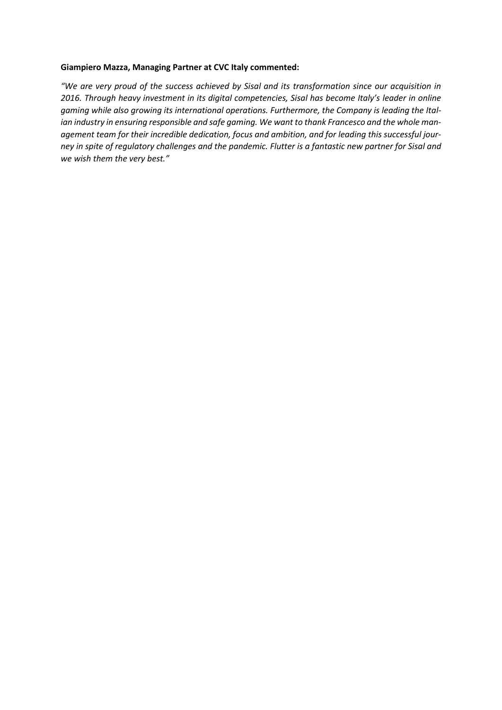#### **Giampiero Mazza, Managing Partner at CVC Italy commented:**

*"We are very proud of the success achieved by Sisal and its transformation since our acquisition in 2016. Through heavy investment in its digital competencies, Sisal has become Italy's leader in online gaming while also growing its international operations. Furthermore, the Company is leading the Italian industry in ensuring responsible and safe gaming. We want to thank Francesco and the whole management team for their incredible dedication, focus and ambition, and for leading this successful journey in spite of regulatory challenges and the pandemic. Flutter is a fantastic new partner for Sisal and we wish them the very best."*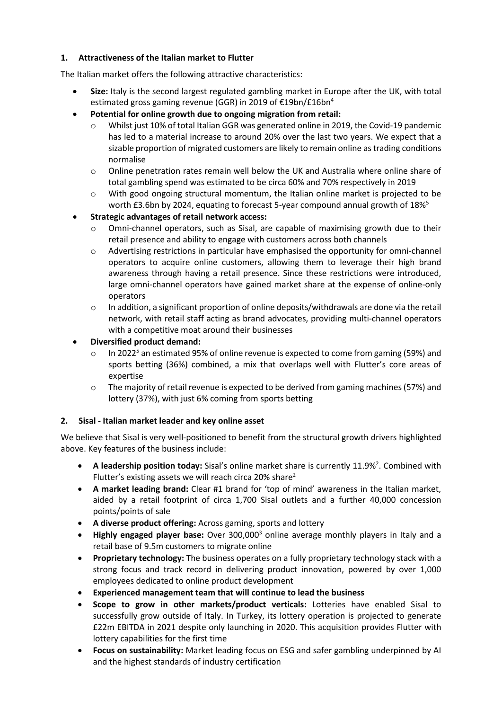# **1. Attractiveness of the Italian market to Flutter**

The Italian market offers the following attractive characteristics:

- **Size:** Italy is the second largest regulated gambling market in Europe after the UK, with total estimated gross gaming revenue (GGR) in 2019 of €19bn/£16bn<sup>4</sup>
- **Potential for online growth due to ongoing migration from retail:**
	- $\circ$  Whilst just 10% of total Italian GGR was generated online in 2019, the Covid-19 pandemic has led to a material increase to around 20% over the last two years. We expect that a sizable proportion of migrated customers are likely to remain online as trading conditions normalise
	- o Online penetration rates remain well below the UK and Australia where online share of total gambling spend was estimated to be circa 60% and 70% respectively in 2019
	- $\circ$  With good ongoing structural momentum, the Italian online market is projected to be worth £3.6bn by 2024, equating to forecast 5-year compound annual growth of 18%<sup>5</sup>
- **Strategic advantages of retail network access:**
	- o Omni-channel operators, such as Sisal, are capable of maximising growth due to their retail presence and ability to engage with customers across both channels
	- o Advertising restrictions in particular have emphasised the opportunity for omni-channel operators to acquire online customers, allowing them to leverage their high brand awareness through having a retail presence. Since these restrictions were introduced, large omni-channel operators have gained market share at the expense of online-only operators
	- $\circ$  In addition, a significant proportion of online deposits/withdrawals are done via the retail network, with retail staff acting as brand advocates, providing multi-channel operators with a competitive moat around their businesses
- **Diversified product demand:**
	- o In 2022<sup>5</sup> an estimated 95% of online revenue is expected to come from gaming (59%) and sports betting (36%) combined, a mix that overlaps well with Flutter's core areas of expertise
	- $\circ$  The majority of retail revenue is expected to be derived from gaming machines (57%) and lottery (37%), with just 6% coming from sports betting

# **2. Sisal - Italian market leader and key online asset**

We believe that Sisal is very well-positioned to benefit from the structural growth drivers highlighted above. Key features of the business include:

- A leadership position today: Sisal's online market share is currently 11.9%<sup>2</sup>. Combined with Flutter's existing assets we will reach circa 20% share<sup>2</sup>
- **A market leading brand:** Clear #1 brand for 'top of mind' awareness in the Italian market, aided by a retail footprint of circa 1,700 Sisal outlets and a further 40,000 concession points/points of sale
- **A diverse product offering:** Across gaming, sports and lottery
- **Highly engaged player base:** Over 300,000<sup>3</sup> online average monthly players in Italy and a retail base of 9.5m customers to migrate online
- **Proprietary technology:** The business operates on a fully proprietary technology stack with a strong focus and track record in delivering product innovation, powered by over 1,000 employees dedicated to online product development
- **Experienced management team that will continue to lead the business**
- **Scope to grow in other markets/product verticals:** Lotteries have enabled Sisal to successfully grow outside of Italy. In Turkey, its lottery operation is projected to generate £22m EBITDA in 2021 despite only launching in 2020. This acquisition provides Flutter with lottery capabilities for the first time
- **Focus on sustainability:** Market leading focus on ESG and safer gambling underpinned by AI and the highest standards of industry certification